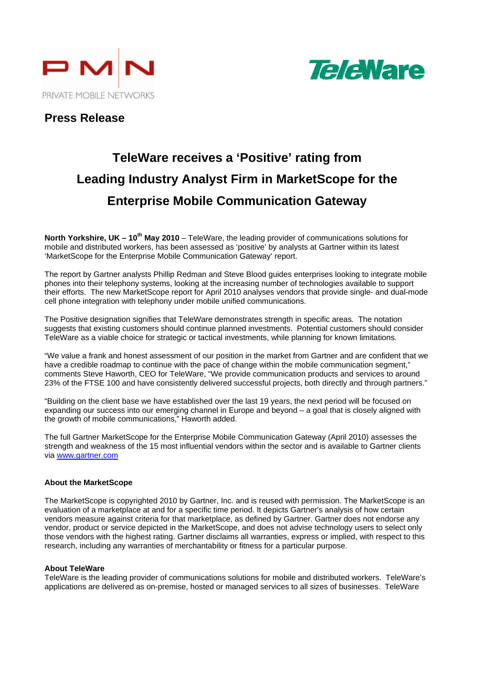



### **Press Release**

# **TeleWare receives a 'Positive' rating from Leading Industry Analyst Firm in MarketScope for the Enterprise Mobile Communication Gateway**

**North Yorkshire, UK – 10th May 2010** – TeleWare, the leading provider of communications solutions for mobile and distributed workers, has been assessed as 'positive' by analysts at Gartner within its latest 'MarketScope for the Enterprise Mobile Communication Gateway' report.

The report by Gartner analysts Phillip Redman and Steve Blood guides enterprises looking to integrate mobile phones into their telephony systems, looking at the increasing number of technologies available to support their efforts. The new MarketScope report for April 2010 analyses vendors that provide single- and dual-mode cell phone integration with telephony under mobile unified communications.

The Positive designation signifies that TeleWare demonstrates strength in specific areas. The notation suggests that existing customers should continue planned investments. Potential customers should consider TeleWare as a viable choice for strategic or tactical investments, while planning for known limitations.

"We value a frank and honest assessment of our position in the market from Gartner and are confident that we have a credible roadmap to continue with the pace of change within the mobile communication segment," comments Steve Haworth, CEO for TeleWare, "We provide communication products and services to around 23% of the FTSE 100 and have consistently delivered successful projects, both directly and through partners."

"Building on the client base we have established over the last 19 years, the next period will be focused on expanding our success into our emerging channel in Europe and beyond – a goal that is closely aligned with the growth of mobile communications," Haworth added.

The full Gartner MarketScope for the Enterprise Mobile Communication Gateway (April 2010) assesses the strength and weakness of the 15 most influential vendors within the sector and is available to Gartner clients via www.gartner.com

#### **About the MarketScope**

The MarketScope is copyrighted 2010 by Gartner, Inc. and is reused with permission. The MarketScope is an evaluation of a marketplace at and for a specific time period. It depicts Gartner's analysis of how certain vendors measure against criteria for that marketplace, as defined by Gartner. Gartner does not endorse any vendor, product or service depicted in the MarketScope, and does not advise technology users to select only those vendors with the highest rating. Gartner disclaims all warranties, express or implied, with respect to this research, including any warranties of merchantability or fitness for a particular purpose.

#### **About TeleWare**

TeleWare is the leading provider of communications solutions for mobile and distributed workers. TeleWare's applications are delivered as on-premise, hosted or managed services to all sizes of businesses. TeleWare